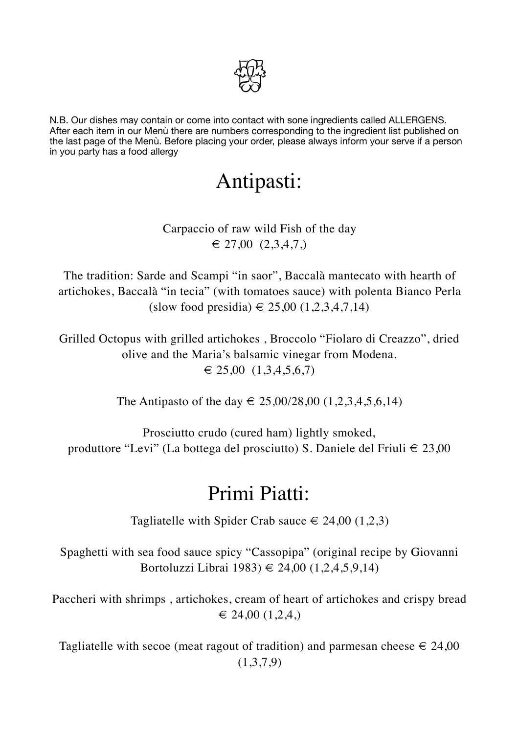

N.B. Our dishes may contain or come into contact with sone ingredients called ALLERGENS. After each item in our Menù there are numbers corresponding to the ingredient list published on the last page of the Menù. Before placing your order, please always inform your serve if a person in you party has a food allergy

# Antipasti:

#### Carpaccio of raw wild Fish of the day  $\in$  27,00 (2,3,4,7,)

The tradition: Sarde and Scampi "in saor", Baccalà mantecato with hearth of artichokes, Baccalà "in tecia" (with tomatoes sauce) with polenta Bianco Perla (slow food presidia) € 25,00 (1,2,3,4,7,14)

Grilled Octopus with grilled artichokes , Broccolo "Fiolaro di Creazzo", dried olive and the Maria's balsamic vinegar from Modena.  $\in$  25,00 (1,3,4,5,6,7)

The Antipasto of the day  $\in$  25,00/28,00 (1,2,3,4,5,6,14)

Prosciutto crudo (cured ham) lightly smoked, produttore "Levi" (La bottega del prosciutto) S. Daniele del Friuli  $\in$  23,00

### Primi Piatti:

Tagliatelle with Spider Crab sauce  $\in$  24,00 (1,2,3)

Spaghetti with sea food sauce spicy "Cassopipa" (original recipe by Giovanni Bortoluzzi Librai 1983) € 24,00 (1,2,4,5,9,14)

Paccheri with shrimps , artichokes, cream of heart of artichokes and crispy bread  $\in$  24,00 (1,2,4)

Tagliatelle with secoe (meat ragout of tradition) and parmesan cheese  $\in$  24,00 (1,3,7,9)